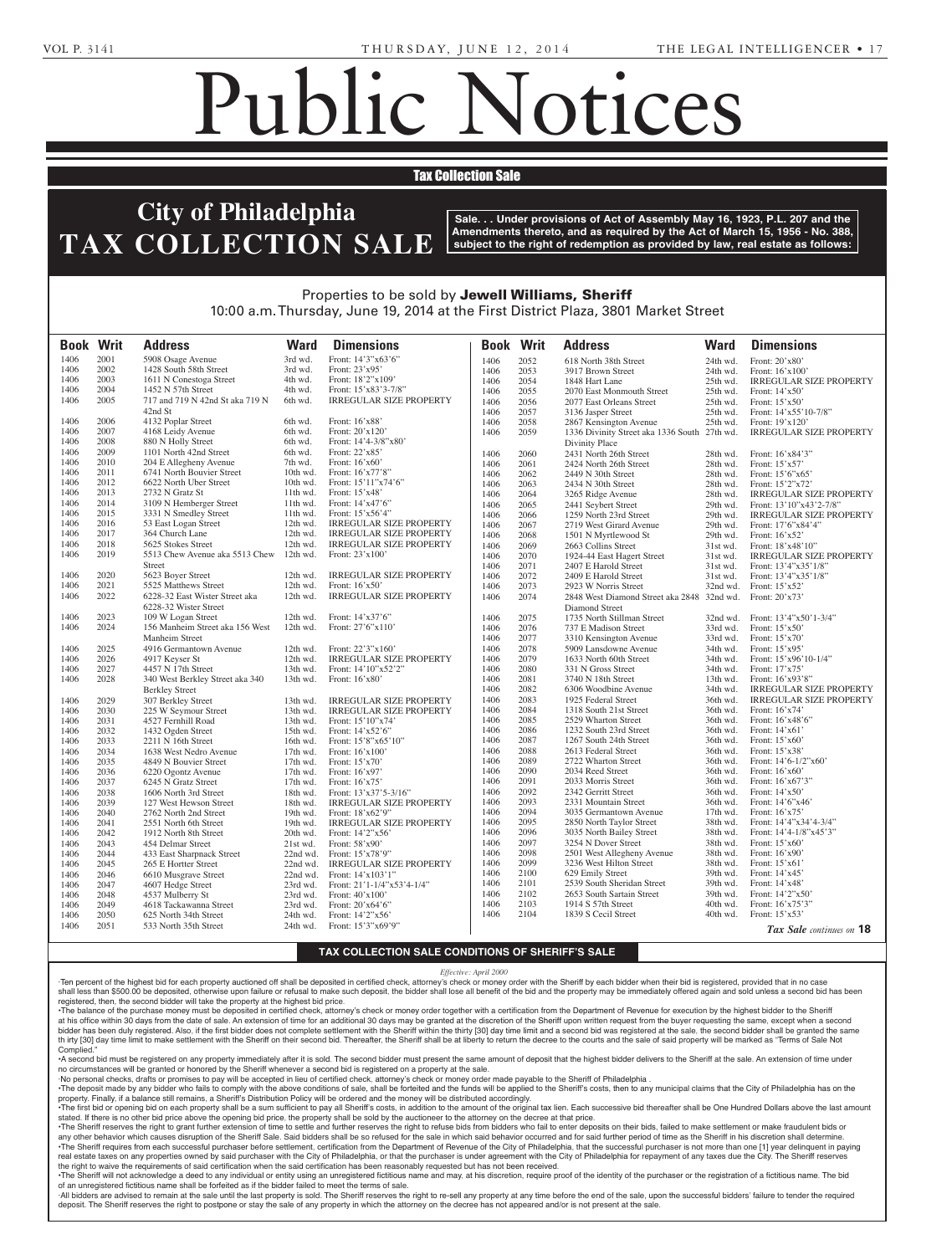which requires a decomposition of the control of the control of the control of the control of the control of the control of the control of the control of the control of the control of the control of the control of the cont

**SCHWADRON, RACHEL -- Lois Communist -- Lois Communist -- Lois Communist -- Lois Communist -- Lois Communist --**Snyder Sulmasy, Executrix, c/o Karen F. Zeitz, Espainiako eta Espainiako eta Espainiako eta Espainiako eta Espainiako eta Espainiako eta Espainiako eta Espainiako eta Espainiako eta Espainiako eta Espainiako eta Espainiako eta Espainiako eta Espainiako Public Hearing on **Wednesday, June 18, 2014, at 10:00 AM, in Room 400, City Hall**, to hear testi-

**140514** An Ordinance providing for the submission to the quali-

# Public Notices

# **Tax Collection Sale**

### **TURNER, TURNER, TURNER, TURNER, TURNER, TURNER, TURNER, TURNER, TURNER, TURNER, TURNER, TURNER, TURNER, TURNER, TU** TAX COLLECTION SALE SEA X COL Estates and Fiduciaries Code **1 IIIIaucipina** -Renee Buie-Turner, Administra- $E$   $C$   $T$   $D$   $N$   $S$ plia, Pa **MICHAEL FOUNDATION**, a

19102.

**Sale. . . Under provisions of Act of Assembly May 16, 1923, P.L. 207 and the** Amendments thereto, and as required by the Act of March 15, 1956 - No. 388, **is a subject to the right of redemption as provided by law, real estate as follows:**  $\Gamma$  subject to the right of redemption as provided by  $\mathbb R$ f redemption as provided by law, real estate as follows: **or the contact of the** <u>City of Philadelphia will hold a</u>

Fictitious Name

## Properties to be sold by **Jewell Williams, Sheriff** 10:00 a.m. Thursday, June 19, 2014 at the First District Plaza, 3801 Market Street be sold by **Jewell Williams, Sheriff** 9, 2014 at the First District Plaza, 3801 Market Stree nia, at Harrisburg, PA, on the asdesignation of **Infinity Title**  $\overline{1}$

poration Law of 1988, as amend-

| <b>Book Writ</b> |      | <b>Address</b>                                 | <b>Ward</b> | <b>Dimensions</b>              |      | <b>Book Writ</b> | <b>Address</b>                               | <b>Ward</b> | <b>Dimensions</b>                                    |
|------------------|------|------------------------------------------------|-------------|--------------------------------|------|------------------|----------------------------------------------|-------------|------------------------------------------------------|
|                  |      |                                                |             |                                |      |                  |                                              |             |                                                      |
| 1406             | 2001 | 5908 Osage Avenue                              | 3rd wd.     | Front: 14'3"x63'6"             | 1406 | 2052             | 618 North 38th Street                        | 24th wd.    | Front: 20'x80'                                       |
| 1406             | 2002 | 1428 South 58th Street                         | 3rd wd.     | Front: 23'x95'                 | 1406 | 2053             | 3917 Brown Street                            | 24th wd.    | Front: $16'x100'$                                    |
| 1406             | 2003 | 1611 N Conestoga Street                        | 4th wd.     | Front: 18'2"x109"              | 1406 | 2054             | 1848 Hart Lane                               | 25th wd.    | <b>IRREGULAR SIZE PROPERTY</b>                       |
| 1406             | 2004 | 1452 N 57th Street                             | 4th wd.     | Front: 15'x83'3-7/8"           | 1406 | 2055             | 2070 East Monmouth Street                    | 25th wd.    | Front: $14'x50'$                                     |
| 1406             | 2005 | 717 and 719 N 42nd St aka 719 N                | 6th wd.     | <b>IRREGULAR SIZE PROPERTY</b> | 1406 | 2056             | 2077 East Orleans Street                     | 25th wd.    | Front: $15'x50'$                                     |
|                  |      | 42nd St                                        |             |                                | 1406 | 2057             | 3136 Jasper Street                           | 25th wd.    | Front: $14'x55'10-7/8"$                              |
| 1406             | 2006 | 4132 Poplar Street                             | 6th wd.     | Front: 16'x88'                 | 1406 | 2058             | 2867 Kensington Avenue                       | 25th wd.    | Front: 19'x120'                                      |
| 1406             | 2007 | 4168 Leidy Avenue                              | 6th wd.     | Front: 20'x120'                | 1406 | 2059             | 1336 Divinity Street aka 1336 South 27th wd. |             | <b>IRREGULAR SIZE PROPERTY</b>                       |
| 1406             | 2008 | 880 N Holly Street                             | 6th wd.     | Front: $14'4-3/8''x80'$        |      |                  | Divinity Place                               |             |                                                      |
| 1406             | 2009 | 1101 North 42nd Street                         | 6th wd.     | Front: 22'x85'                 | 1406 | 2060             | 2431 North 26th Street                       | 28th wd.    | Front: 16'x84'3"                                     |
| 1406             | 2010 | 204 E Allegheny Avenue                         | 7th wd.     | Front: $16'x60'$               | 1406 | 2061             | 2424 North 26th Street                       | 28th wd.    | Front: $15'x57'$                                     |
| 1406             | 2011 | 6741 North Bouvier Street                      | 10th wd.    | Front: 16'x77'8"               | 1406 | 2062             | 2449 N 30th Street                           | 28th wd.    | Front: 15'6"x65'                                     |
| 1406             | 2012 | 6622 North Uber Street                         | 10th wd.    | Front: 15'11"x74'6"            | 1406 | 2063             | 2434 N 30th Street                           | 28th wd.    | Front: 15'2"x72'                                     |
| 1406             | 2013 | 2732 N Gratz St                                | 11th wd.    | Front: 15'x48'                 | 1406 | 2064             | 3265 Ridge Avenue                            | 28th wd.    | <b>IRREGULAR SIZE PROPERTY</b>                       |
| 1406             | 2014 | 3109 N Hemberger Street                        | 11th wd.    | Front: 14'x47'6"               | 1406 | 2065             | 2441 Seybert Street                          | 29th wd.    | Front: 13'10"x43'2-7/8"                              |
| 1406             | 2015 | 3331 N Smedley Street                          | 11th wd.    | Front: $15'x56'4"$             | 1406 | 2066             | 1259 North 23rd Street                       | 29th wd.    | <b>IRREGULAR SIZE PROPERTY</b>                       |
| 1406             | 2016 | 53 East Logan Street                           | 12th wd.    | <b>IRREGULAR SIZE PROPERTY</b> | 1406 | 2067             | 2719 West Girard Avenue                      | 29th wd.    | Front: 17'6"x84'4"                                   |
| 1406             | 2017 | 364 Church Lane                                | 12th wd.    | <b>IRREGULAR SIZE PROPERTY</b> | 1406 | 2068             | 1501 N Myrtlewood St                         | 29th wd.    | Front: $16'x52'$                                     |
| 1406             | 2018 | 5625 Stokes Street                             | 12th wd.    | <b>IRREGULAR SIZE PROPERTY</b> | 1406 | 2069             | 2663 Collins Street                          | 31st wd.    | Front: 18'x48'10"                                    |
| 1406             | 2019 | 5513 Chew Avenue aka 5513 Chew                 | 12th wd.    | Front: 23'x100'                | 1406 | 2070             | 1924-44 East Hagert Street                   | 31st wd.    | <b>IRREGULAR SIZE PROPERTY</b>                       |
|                  |      | Street                                         |             |                                | 1406 | 2071             | 2407 E Harold Street                         | 31st wd.    | Front: 13'4"x35'1/8"                                 |
| 1406             | 2020 | 5623 Boyer Street                              | 12th wd.    | <b>IRREGULAR SIZE PROPERTY</b> | 1406 | 2072             | 2409 E Harold Street                         | 31st wd.    | Front: 13'4"x35'1/8"                                 |
| 1406             | 2021 | 5525 Matthews Street                           | 12th wd.    | Front: $16'x50'$               | 1406 | 2073             | 2923 W Norris Street                         | 32nd wd.    | Front: $15'x52'$                                     |
| 1406             | 2022 | 6228-32 East Wister Street aka                 | 12th wd.    | <b>IRREGULAR SIZE PROPERTY</b> | 1406 | 2074             | 2848 West Diamond Street aka 2848 32nd wd.   |             | Front: 20'x73'                                       |
|                  |      | 6228-32 Wister Street                          |             |                                |      |                  | Diamond Street                               |             |                                                      |
| 1406             | 2023 | 109 W Logan Street                             | 12th wd.    | Front: 14'x37'6"               | 1406 | 2075             | 1735 North Stillman Street                   | 32nd wd.    | Front: $13'4''x50'1-3/4"$                            |
| 1406             | 2024 | 156 Manheim Street aka 156 West                | $12th$ wd.  | Front: $27'6''x110'$           | 1406 | 2076             | 737 E Madison Street                         | 33rd wd.    | Front: $15'x50'$                                     |
|                  |      | Manheim Street                                 |             |                                | 1406 | 2077             | 3310 Kensington Avenue                       | 33rd wd.    | Front: $15'x70'$                                     |
| 1406             | 2025 | 4916 Germantown Avenue                         | 12th wd.    | Front: $22'3''x160'$           | 1406 | 2078             | 5909 Lansdowne Avenue                        | 34th wd.    | Front: $15'x95'$                                     |
| 1406             | 2026 | 4917 Keyser St                                 | 12th wd.    | <b>IRREGULAR SIZE PROPERTY</b> | 1406 | 2079             | 1633 North 60th Street                       | 34th wd.    | Front: $15'x96'10-1/4"$                              |
| 1406             | 2027 | 4457 N 17th Street                             | 13th wd.    | Front: 14'10"x52'2"            | 1406 | 2080             | 331 N Gross Street                           | 34th wd.    | Front: 17'x75'                                       |
| 1406             | 2028 | 340 West Berkley Street aka 340                | 13th wd.    | Front: 16'x80'                 | 1406 | 2081             | 3740 N 18th Street                           | 13th wd.    | Front: 16'x93'8"                                     |
|                  |      | <b>Berkley Street</b>                          |             |                                | 1406 | 2082             | 6306 Woodbine Avenue                         | 34th wd.    | <b>IRREGULAR SIZE PROPERTY</b>                       |
| 1406             | 2029 | 307 Berkley Street                             | 13th wd.    | <b>IRREGULAR SIZE PROPERTY</b> | 1406 | 2083             | 1925 Federal Street                          | 36th wd.    | <b>IRREGULAR SIZE PROPERTY</b>                       |
| 1406             | 2030 | 225 W Seymour Street                           | 13th wd.    | <b>IRREGULAR SIZE PROPERTY</b> | 1406 | 2084             | 1318 South 21st Street                       | 36th wd.    | Front: $16'x74'$                                     |
| 1406             | 2031 | 4527 Fernhill Road                             | 13th wd.    | Front: 15'10"x74'              | 1406 | 2085             | 2529 Wharton Street                          | 36th wd.    | Front: 16'x48'6"                                     |
| 1406             | 2032 | 1432 Ogden Street                              | 15th wd.    | Front: $14'x52'6''$            | 1406 | 2086             | 1232 South 23rd Street                       | 36th wd.    | Front: 14'x61'                                       |
| 1406             | 2033 | 2211 N 16th Street                             | 16th wd.    | Front: 15'8"x65'10"            | 1406 | 2087             | 1267 South 24th Street                       | 36th wd.    | Front: $15'x60'$                                     |
| 1406             | 2034 | 1638 West Nedro Avenue                         | 17th wd.    | Front: $16'x100'$              | 1406 | 2088             | 2613 Federal Street                          | 36th wd.    | Front: 15'x38'                                       |
| 1406             | 2035 | 4849 N Bouvier Street                          | 17th wd.    | Front: $15'x70'$               | 1406 | 2089             | 2722 Wharton Street                          | 36th wd.    | Front: $14^{\circ}6 - 1/2^{\circ} \times 60^{\circ}$ |
| 1406             | 2036 | 6220 Ogontz Avenue                             | 17th wd.    | Front: $16'x97'$               | 1406 | 2090             | 2034 Reed Street                             | 36th wd.    | Front: $16'x60'$                                     |
| 1406             | 2037 | 6245 N Gratz Street                            | $17th$ wd.  | Front: $16'x75'$               | 1406 | 2091             | 2033 Morris Street                           | 36th wd.    | Front: $16'x67'3"$                                   |
| 1406             | 2038 | 1606 North 3rd Street                          | 18th wd.    | Front: $13'x37'5-3/16"$        | 1406 | 2092             | 2342 Gerritt Street                          | 36th wd.    | Front: $14'x50'$                                     |
| 1406             | 2039 | 127 West Hewson Street                         | 18th wd.    | <b>IRREGULAR SIZE PROPERTY</b> | 1406 | 2093             | 2331 Mountain Street                         | 36th wd.    | Front: 14'6"x46'                                     |
|                  | 2040 |                                                |             | Front: 18'x62'9"               | 1406 | 2094             | 3035 Germantown Avenue                       | 17th wd.    | Front: 16'x75'                                       |
| 1406             |      | 2762 North 2nd Street<br>2551 North 6th Street | 19th wd.    |                                | 1406 | 2095             | 2850 North Taylor Street                     | 38th wd.    | Front: 14'4"x34'4-3/4"                               |
| 1406             | 2041 |                                                | 19th wd.    | <b>IRREGULAR SIZE PROPERTY</b> | 1406 | 2096             | 3035 North Bailey Street                     | 38th wd.    | Front: $14'4-1/8''x45'3''$                           |
| 1406             | 2042 | 1912 North 8th Street                          | 20th wd.    | Front: $14'2''x56'$            | 1406 | 2097             | 3254 N Dover Street                          |             | 38th wd. Front: 15'x60'                              |
| 1406             | 2043 | 454 Delmar Street                              | 21st wd.    | Front: 58'x90'                 |      |                  |                                              |             |                                                      |
| 1406             | 2044 | 433 East Sharpnack Street                      |             | 22nd wd. Front: 15'x78'9"      | 1406 | 2098             | 2501 West Allegheny Avenue                   |             | 38th wd. Front: $16'x90'$                            |
| 1406             | 2045 | 265 E Hortter Street                           | 22nd wd.    | <b>IRREGULAR SIZE PROPERTY</b> | 1406 | 2099             | 3236 West Hilton Street                      | 38th wd.    | Front: 15'x61'                                       |
| 1406             | 2046 | 6610 Musgrave Street                           | 22nd wd.    | Front: $14'x103'1''$           | 1406 | 2100             | 629 Emily Street                             | 39th wd.    | Front: 14'x45'                                       |
| 1406             | 2047 | 4607 Hedge Street                              | 23rd wd.    | Front: $21'1-1/4''x53'4-1/4''$ | 1406 | 2101             | 2539 South Sheridan Street                   | 39th wd.    | Front: 14'x48'                                       |
| 1406             | 2048 | 4537 Mulberry St                               | 23rd wd.    | Front: 40'x100'                | 1406 | 2102             | 2653 South Sartain Street                    | 39th wd.    | Front: 14'2"x50'                                     |
| 1406             | 2049 | 4618 Tackawanna Street                         | 23rd wd.    | Front: $20'x64'6''$            | 1406 | 2103             | 1914 S 57th Street                           | 40th wd.    | Front: 16'x75'3"                                     |
| 1406             | 2050 | 625 North 34th Street                          | 24th wd.    | Front: $14'2''x56'$            | 1406 | 2104             | 1839 S Cecil Street                          | 40th wd.    | Front: $15'x53'$                                     |
| 1406             | 2051 | 533 North 35th Street                          | 24th wd.    | Front: $15'3''x69'9''$         |      |                  |                                              |             | Tax Sale continues on 18                             |

## **TAX COLLECTION SALE CONDITIONS OF SHERIFF'S SALE** Road, Dearborn, Michigan 48126 **ION SALE CONDITIONS OF SHI**

Effective: April 2000 vania at 116 Pine Street, Suite

Fffective: April 2000<br>Ten percent of the highest bid for each property auctioned off shall be deposited in certified check, attorney's check or money order with the Sheriff by each bidder when their bid is registered, prov shall be the percent of the highest bid to leady property audiomed on shall be deposited in certified crieck, allohey's check of money ofder what the chemin by each bidder when then bid is registered, provided that in no c registered, then, the second bidder will take the property at the highest bid price. Figure the distribution of the highest bid for each property auctioned off shall be deposited in certified check, attorney's check or money order with the directors of the directors of the directors of the date of the dir

registered, then, the second bidder will take the property at the highest bid price.<br>The balance of the purchase money must be deposited in certified check, attorney's check or money order together with a certification fro Ine balance of the purchase money must be deposited in certified check, attorney s check or money order together with a certification from the Department of Hevenue for execution by the highest blood to the Sheriff and alt interest and the state of the first bidder does not complete settlement with the Sheriff within the thry [30] day time limit and a second bid was registered at the step of bediese, the second bid was local conditions of th th irty [30] day time limit to make settlement with the Sheriff on their second bid. Thereafter, the Sheriff shall be at liberty to return the decree to the courts and the sale of said property will be marked as "Terms of Complied  $\frac{1}{2}$ -29-30-30 and the discretion of the file discretion of the discretion of the discretion of the Sherif within the discretion of the Sherif within the discretion of the Sherif within the thirty [30] day time limit vith the Sheriff on their second bid. Thereafter, the Sheriff shall be at liberty to return the decl r money order together with a certification from

-A second bid must be registered on any property immediately after it is sold. The second bidder must present the same amount of deposit that the highest bidder delivers to the Sheriff at the sale. An extension of time und no circumstances will be granted or honored by the Sheriff whenever a second bid is registered on a property at the sale. it of depos

No personal checks, drafts or promises to pay will be accepted in lieu of certified check, attorney's check or money order made payable to the Sheriff of Philadelphia.

Notice is hereby given that the

The deposit made by any bidder who fails to comply with the above conditions of sale, shall be forteited and the funds will be applied to the Sheriff's costs, then to any municipal claims that the City of Philadelphia has property. Finally, if a balance still remains, a Sheriff's Distribution Policy will be ordered and the money will be distributed accordingly.

The first bid or opening bid on each property shall be a sum sufficient to pay all Sheriff's costs, in addition to the amount of the original tax lien. Each successive bid thereafter shall be One Hundred Dollars above the stated. If there is no other bid price above the opening bid price, the property shall be sold by the auctioneer to the attorney on the decree at that price.

The Sheriff reserves the right to grant further extension of time to settle and further reserves the right to refuse bids from bidders who fail to enter deposits on their bids, failed to make settlement or make fraudulent any other behavior which causes disruption of the Sheriff Sale. Said bidders shall be so refused for the sale in which said behavior occurred and for said further period of time as the Sheriff in his discretion shall deter The Sheriff requires from each successful purchaser before settlement, certification from the Department of Revenue of the City of Philadelphia, that the state successful purchaser is not more than one [1] year. The Sherif real estate taxes on any properties owned by said purchaser with the City of Philadelphia, or that the purchaser is under agreement with the City of Philadelphia for repayment of any taxes due the City. The Sheriff reserve the right to waive the requirements of said certification when the said certification has been reasonably requested but has not been received. the right to walve the requirements or sald certification when the sald certification has been reasonably requested but has not been received.<br>•The Sheriff will not acknowledge a deed to any individual or entity using an u

of an unregistered fictitious name shall be forfeited as if the bidder failed to meet the terms of sale.

All bidders are advised to remain at the sale until the last property is sold. The Sheriff reserves the right to re-sell any property at any time before the end of the sale, upon the successful bidders' failure to tender t deposit. The Sheriff reserves the right to postpone or stay the sale of any property in which the attorney on the decree has not appeared and/or is not present at the sale.